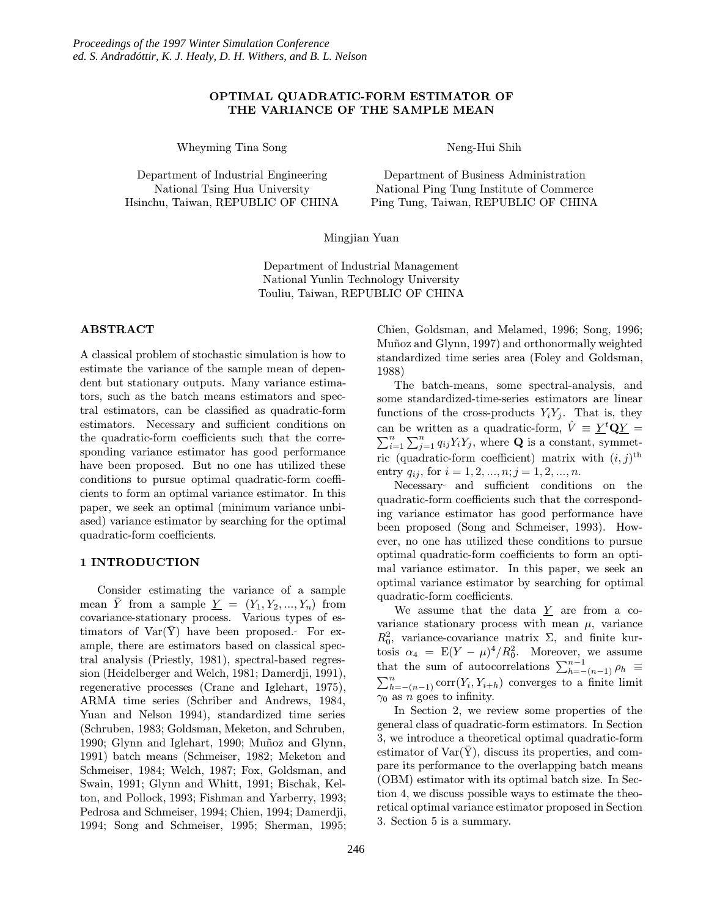## OPTIMAL QUADRATIC-FORM ESTIMATOR OF THE VARIANCE OF THE SAMPLE MEAN

Wheyming Tina Song

Department of Industrial Engineering National Tsing Hua University Hsinchu, Taiwan, REPUBLIC OF CHINA Neng-Hui Shih

Department of Business Administration National Ping Tung Institute of Commerce Ping Tung, Taiwan, REPUBLIC OF CHINA

#### Mingjian Yuan

Department of Industrial Management National Yunlin Technology University Touliu, Taiwan, REPUBLIC OF CHINA

### ABSTRACT

A classical problem of stochastic simulation is how to estimate the variance of the sample mean of dependent but stationary outputs. Many variance estimators, such as the batch means estimators and spectral estimators, can be classified as quadratic-form estimators. Necessary and sufficient conditions on the quadratic-form coefficients such that the corresponding variance estimator has good performance have been proposed. But no one has utilized these conditions to pursue optimal quadratic-form coefficients to form an optimal variance estimator. In this paper, we seek an optimal (minimum variance unbiased) variance estimator by searching for the optimal quadratic-form coefficients.

#### 1 INTRODUCTION

Consider estimating the variance of a sample mean  $\overline{Y}$  from a sample  $\underline{Y} = (Y_1, Y_2, ..., Y_n)$  from covariance-stationary process. Various types of estimators of  $Var(Y)$  have been proposed. For example, there are estimators based on classical spectral analysis (Priestly, 1981), spectral-based regression (Heidelberger and Welch, 1981; Damerdji, 1991), regenerative processes (Crane and Iglehart, 1975), ARMA time series (Schriber and Andrews, 1984, Yuan and Nelson 1994), standardized time series (Schruben, 1983; Goldsman, Meketon, and Schruben, 1990; Glynn and Iglehart, 1990; Muñoz and Glynn, 1991) batch means (Schmeiser, 1982; Meketon and Schmeiser, 1984; Welch, 1987; Fox, Goldsman, and Swain, 1991; Glynn and Whitt, 1991; Bischak, Kelton, and Pollock, 1993; Fishman and Yarberry, 1993; Pedrosa and Schmeiser, 1994; Chien, 1994; Damerdji, 1994; Song and Schmeiser, 1995; Sherman, 1995;

Chien, Goldsman, and Melamed, 1996; Song, 1996; Muñoz and Glynn, 1997) and orthonormally weighted standardized time series area (Foley and Goldsman, 1988)

The batch-means, some spectral-analysis, and some standardized-time-series estimators are linear functions of the cross-products  $Y_i Y_j$ . That is, they can be written as a quadratic-form,  $\hat{V} \equiv \underline{Y}^t \mathbf{Q} \underline{Y} = \sum_{n=1}^{n} \sum_{i=1}^{n} X_i Y_i$  where  $\mathbf{Q}$  is a constant summature  $\sum_{i=1}^{n} \sum_{j=1}^{n} q_{ij} Y_i Y_j$ , where **Q** is a constant, symmetric (quadratic-form coefficient) matrix with  $(i, j)$ <sup>th</sup> entry  $q_{ij}$ , for  $i = 1, 2, ..., n; j = 1, 2, ..., n$ .

Necessary and sufficient conditions on the quadratic-form coefficients such that the corresponding variance estimator has good performance have been proposed (Song and Schmeiser, 1993). However, no one has utilized these conditions to pursue optimal quadratic-form coefficients to form an optimal variance estimator. In this paper, we seek an optimal variance estimator by searching for optimal quadratic-form coefficients.

We assume that the data  $\underline{Y}$  are from a covariance stationary process with mean  $\mu$ , variance  $R_0^2$ , variance-covariance matrix  $\Sigma$ , and finite kurtosis  $\alpha_4 = E(Y - \mu)^4 / R_0^2$ . Moreover, we assume that the sum of autocorrelations  $\sum_{h=-n-1}^{n-1} \rho_h \equiv \sum_{h=-n-1}^{n} \rho_{h+1}$  converges to a finite limit  $\sum_{h=-(n-1)}^{n} \text{corr}(Y_i, Y_{i+h})$  converges to a finite limit  $\gamma_0$  as *n* goes to infinity.

In Section 2, we review some properties of the general class of quadratic-form estimators. In Section 3, we introduce a theoretical optimal quadratic-form estimator of  $Var(\bar{Y})$ , discuss its properties, and compare its performance to the overlapping batch means (OBM) estimator with its optimal batch size. In Section 4, we discuss possible ways to estimate the theoretical optimal variance estimator proposed in Section 3. Section 5 is a summary.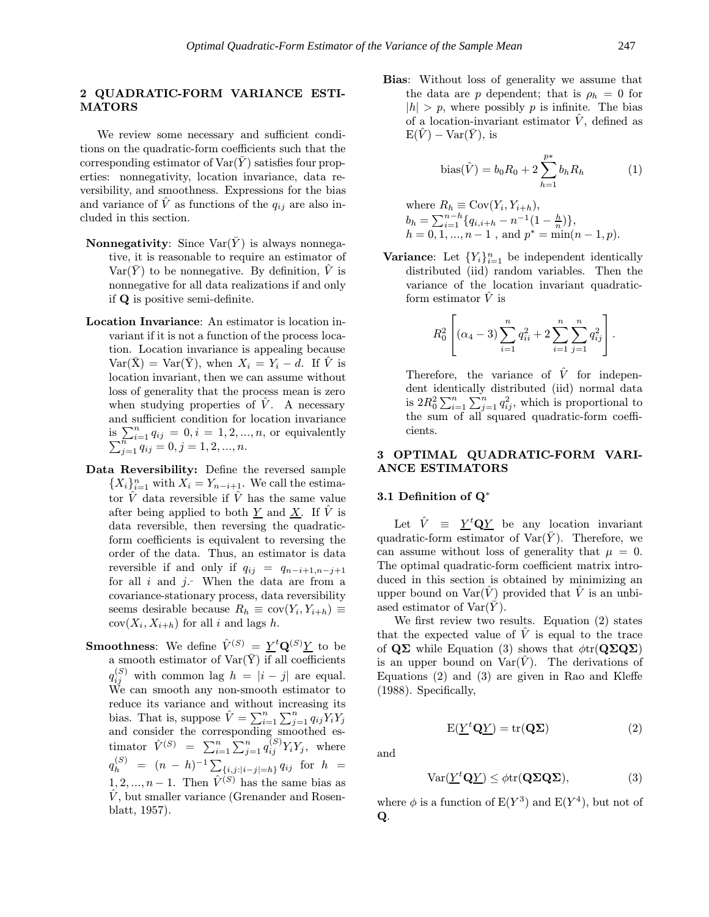# 2 QUADRATIC-FORM VARIANCE ESTI-MATORS

We review some necessary and sufficient conditions on the quadratic-form coefficients such that the corresponding estimator of  $Var(Y)$  satisfies four properties: nonnegativity, location invariance, data reversibility, and smoothness. Expressions for the bias and variance of  $\hat{V}$  as functions of the  $q_{ij}$  are also included in this section.

- **Nonnegativity:** Since  $\text{Var}(\overline{Y})$  is always nonnegative, it is reasonable to require an estimator of  $Var(\overline{Y})$  to be nonnegative. By definition,  $\overline{V}$  is nonnegative for all data realizations if and only if Q is positive semi-definite.
- Location Invariance: An estimator is location invariant if it is not a function of the process location. Location invariance is appealing because  $Var(\bar{X}) = Var(\bar{Y})$ , when  $X_i = Y_i - d$ . If  $\bar{V}$  is location invariant, then we can assume without loss of generality that the process mean is zero when studying properties of  $\hat{V}$ . A necessary and sufficient condition for location invariance is  $\sum_{i=1}^{n} q_{ij} = 0, i = 1, 2, ..., n$ , or equivalently  $\sum_{i=1}^{n} q_{ij} = 0, i = 1, 2, ..., n$ .  $j=1 \atop j=1}^n q_{ij} = 0, j = 1, 2, ..., n.$
- Data Reversibility: Define the reversed sample  ${X_i}_{i=1}^n$  with  $X_i = Y_{n-i+1}$ . We call the estimator  $\hat{V}$  data reversible if  $\hat{V}$  has the same value after being applied to both  $\underline{Y}$  and  $\underline{X}$ . If  $\hat{V}$  is data reversible, then reversing the quadraticform coefficients is equivalent to reversing the order of the data. Thus, an estimator is data reversible if and only if  $q_{ij} = q_{n-i+1,n-j+1}$ for all  $i$  and  $j$ . When the data are from a covariance-stationary process, data reversibility seems desirable because  $R_h \equiv \text{cov}(Y_i, Y_{i+h}) \equiv$  $cov(X_i, X_{i+h})$  for all i and lags h.
- **Smoothness**: We define  $\hat{V}^{(S)} = \underline{Y}^t \mathbf{Q}^{(S)} \underline{Y}$  to be a smooth estimator of  $Var(\bar{Y})$  if all coefficients  $q_{ij}^{(S)}$  with common lag  $h = |i - j|$  are equal. We can smooth any non-smooth estimator to reduce its variance and without increasing its bias. That is, suppose  $\hat{V} = \sum_{i=1}^{n} \sum_{j=1}^{n} q_{ij} Y_i Y_j$ and consider the corresponding smoothed estimator  $\hat{V}^{(S)} = \sum_{i=1}^{n} \sum_{j=1}^{n} q_{ij}^{(S)} Y_i Y_j$ , where  $q_h^{(S)} \,\, = \,\, (n \, - \, h)^{-1} \sum_{\{i,j:|i-j|=h\}} q_{ij} \,\, \text{ for } \,\, h \,\, = \,\,$  $1, 2, ..., n-1$ . Then  $\hat{V}^{(S)}$  has the same bias as  $\hat{V}$ , but smaller variance (Grenander and Rosenblatt, 1957).

Bias: Without loss of generality we assume that the data are p dependent; that is  $\rho_h = 0$  for  $|h| > p$ , where possibly p is infinite. The bias of a location-invariant estimator  $\hat{V}$ , defined as  $E(V) - Var(\overline{Y})$ , is

bias
$$
(\hat{V}) = b_0 R_0 + 2 \sum_{h=1}^{p*} b_h R_h
$$
 (1)

where 
$$
R_h \equiv \text{Cov}(Y_i, Y_{i+h}),
$$
  
\n $b_h = \sum_{i=1}^{n-h} \{q_{i,i+h} - n^{-1}(1 - \frac{h}{n})\},$   
\n $h = 0, 1, ..., n - 1$ , and  $p^* = \min(n - 1, p).$ 

Variance: Let  ${Y_i}_{i=1}^n$  be independent identically distributed (iid) random variables. Then the variance of the location invariant quadraticform estimator  $\hat{V}$  is

$$
R_0^2 \left[ (\alpha_4 - 3) \sum_{i=1}^n q_{ii}^2 + 2 \sum_{i=1}^n \sum_{j=1}^n q_{ij}^2 \right].
$$

Therefore, the variance of  $\hat{V}$  for independent identically distributed (iid) normal data is  $2R_0^2\sum_{i=1}^n\sum_{j=1}^n q_{ij}^2$ , which is proportional to the sum of all squared quadratic-form coefficients.

### 3 OPTIMAL QUADRATIC-FORM VARI-ANCE ESTIMATORS

### 3.1 Definition of Q<sup>∗</sup>

Let  $\hat{V} \equiv \underline{Y}^t \mathbf{Q} \underline{Y}$  be any location invariant quadratic-form estimator of  $Var(Y)$ . Therefore, we can assume without loss of generality that  $\mu = 0$ . The optimal quadratic-form coefficient matrix introduced in this section is obtained by minimizing an upper bound on  $\text{Var}(\hat{V})$  provided that  $\hat{V}$  is an unbiased estimator of  $Var(\overline{Y})$ .

We first review two results. Equation (2) states that the expected value of  $\hat{V}$  is equal to the trace of  $\mathbf{Q}\Sigma$  while Equation (3) shows that  $\phi \text{tr}(\mathbf{Q}\Sigma \mathbf{Q}\Sigma)$ is an upper bound on  $\text{Var}(\hat{V})$ . The derivations of Equations (2) and (3) are given in Rao and Kleffe (1988). Specifically,

$$
E(\underline{Y}^t \mathbf{Q} \underline{Y}) = \text{tr}(\mathbf{Q} \Sigma) \tag{2}
$$

and

$$
Var(\underline{Y}^t \mathbf{Q} \underline{Y}) \le \phi tr(\mathbf{Q} \Sigma \mathbf{Q} \Sigma), \tag{3}
$$

where  $\phi$  is a function of  $E(Y^3)$  and  $E(Y^4)$ , but not of Q.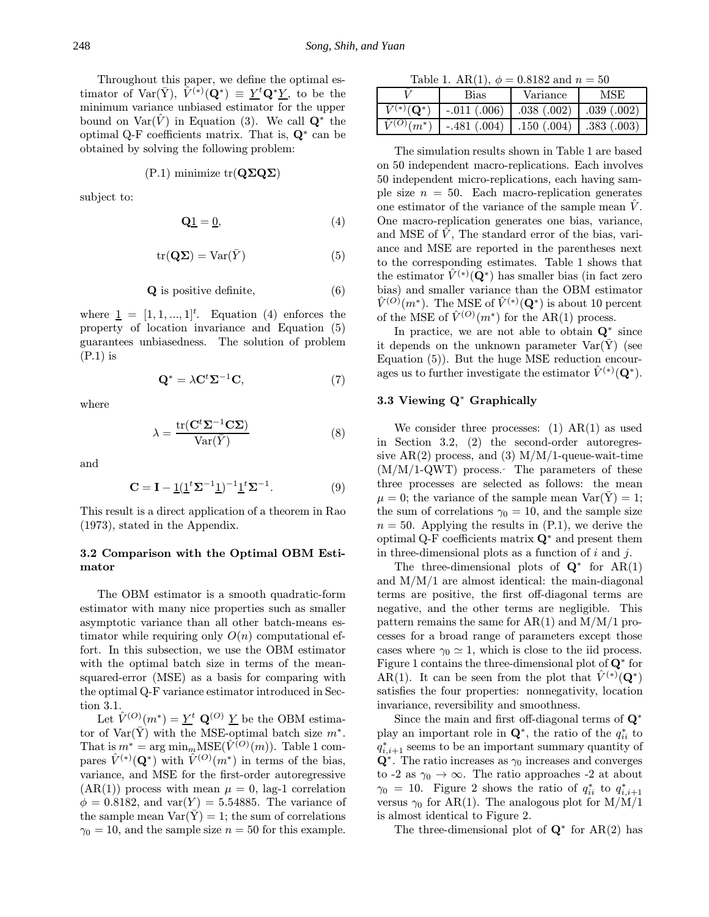Throughout this paper, we define the optimal estimator of  $Var(\bar{Y})$ ,  $\hat{V}^{(*)}(\mathbf{Q}^*) \equiv \underline{Y}^t \mathbf{Q}^* \underline{Y}$ , to be the minimum variance unbiased estimator for the upper bound on  $\text{Var}(\hat{V})$  in Equation (3). We call  $\mathbf{Q}^*$  the optimal Q-F coefficients matrix. That is,  $\mathbf{Q}^*$  can be obtained by solving the following problem:

$$
(P.1) \text{ minimize } \text{tr}(\mathbf{Q}\Sigma\mathbf{Q}\Sigma)
$$

subject to:

$$
Q\underline{1} = \underline{0},\tag{4}
$$

$$
tr(\mathbf{Q}\mathbf{\Sigma}) = Var(\bar{Y})
$$
 (5)

$$
Q is positive definite,
$$
\n
$$
(6)
$$

where  $\underline{1} = [1, 1, ..., 1]^t$ . Equation (4) enforces the property of location invariance and Equation (5) guarantees unbiasedness. The solution of problem  $(P.1)$  is

$$
\mathbf{Q}^* = \lambda \mathbf{C}^t \mathbf{\Sigma}^{-1} \mathbf{C},\tag{7}
$$

where

$$
\lambda = \frac{\text{tr}(\mathbf{C}^t \mathbf{\Sigma}^{-1} \mathbf{C} \mathbf{\Sigma})}{\text{Var}(\bar{Y})}
$$
(8)

and

$$
\mathbf{C} = \mathbf{I} - \underline{\mathbf{1}}(\underline{\mathbf{1}}^t \Sigma^{-1} \underline{\mathbf{1}})^{-1} \underline{\mathbf{1}}^t \Sigma^{-1}.
$$
 (9)

This result is a direct application of a theorem in Rao (1973), stated in the Appendix.

# 3.2 Comparison with the Optimal OBM Estimator

The OBM estimator is a smooth quadratic-form estimator with many nice properties such as smaller asymptotic variance than all other batch-means estimator while requiring only  $O(n)$  computational effort. In this subsection, we use the OBM estimator with the optimal batch size in terms of the meansquared-error (MSE) as a basis for comparing with the optimal Q-F variance estimator introduced in Section 3.1.

Let  $\hat{V}^{(O)}(m^*) = \underline{Y}^t \mathbf{Q}^{(O)} \underline{Y}$  be the OBM estimator of  $Var(\bar{Y})$  with the MSE-optimal batch size  $m^*$ . That is  $m^* = \arg \min_m \text{MSE}(\hat{V}^{(O)}(m))$ . Table 1 compares  $\hat{V}^{(*)}(\mathbf{Q}^*)$  with  $\hat{V}^{(O)}(m^*)$  in terms of the bias, variance, and MSE for the first-order autoregressive  $(AR(1))$  process with mean  $\mu = 0$ , lag-1 correlation  $\phi = 0.8182$ , and var $(Y) = 5.54885$ . The variance of the sample mean  $\text{Var}(\bar{Y}) = 1$ ; the sum of correlations  $\gamma_0 = 10$ , and the sample size  $n = 50$  for this example.

Table 1. AR(1),  $\phi = 0.8182$  and  $n = 50$ 

|  |                            | Bias                        | Variance   | MSE        |  |
|--|----------------------------|-----------------------------|------------|------------|--|
|  | $\hat{V}^{(*)}({\bf Q}^*)$ | $-.011(.006)$               | .038(.002) | .039(.002) |  |
|  | $\widehat{V}^{(O)}(m^*)$   | $-.481(.004)$ .150 $(.004)$ |            | .383(.003) |  |

The simulation results shown in Table 1 are based on 50 independent macro-replications. Each involves 50 independent micro-replications, each having sample size  $n = 50$ . Each macro-replication generates one estimator of the variance of the sample mean  $V$ . One macro-replication generates one bias, variance, and MSE of  $\hat{V}$ , The standard error of the bias, variance and MSE are reported in the parentheses next to the corresponding estimates. Table 1 shows that the estimator  $\hat{V}^{(*)}(\mathbf{Q}^*)$  has smaller bias (in fact zero bias) and smaller variance than the OBM estimator  $\hat{V}^{(O)}(m^*)$ . The MSE of  $\hat{V}^{(*)}(\mathbf{Q}^*)$  is about 10 percent of the MSE of  $\hat{V}^{(O)}(m^*)$  for the AR(1) process.

In practice, we are not able to obtain  $\mathbf{Q}^*$  since it depends on the unknown parameter  $Var(\overline{Y})$  (see Equation (5)). But the huge MSE reduction encourages us to further investigate the estimator  $\hat{V}^{(*)}(\mathbf{Q}^*).$ 

### 3.3 Viewing Q<sup>∗</sup> Graphically

We consider three processes:  $(1)$  AR $(1)$  as used in Section 3.2, (2) the second-order autoregressive  $AR(2)$  process, and (3)  $M/M/1$ -queue-wait-time  $(M/M/1-QWT)$  process. The parameters of these three processes are selected as follows: the mean  $\mu = 0$ ; the variance of the sample mean  $Var(\bar{Y}) = 1$ ; the sum of correlations  $\gamma_0 = 10$ , and the sample size  $n = 50$ . Applying the results in  $(P.1)$ , we derive the optimal Q-F coefficients matrix Q<sup>∗</sup> and present them in three-dimensional plots as a function of  $i$  and  $j$ .

The three-dimensional plots of  $\mathbf{Q}^*$  for  $AR(1)$ and  $M/M/1$  are almost identical: the main-diagonal terms are positive, the first off-diagonal terms are negative, and the other terms are negligible. This pattern remains the same for  $AR(1)$  and  $M/M/1$  processes for a broad range of parameters except those cases where  $\gamma_0 \simeq 1$ , which is close to the iid process. Figure 1 contains the three-dimensional plot of  $\mathbf{Q}^*$  for AR(1). It can be seen from the plot that  $\hat{V}^{(*)}(\mathbf{Q}^*)$ satisfies the four properties: nonnegativity, location invariance, reversibility and smoothness.

Since the main and first off-diagonal terms of Q<sup>∗</sup> play an important role in  $\mathbf{Q}^*$ , the ratio of the  $q_{ii}^*$  to  $q_{i,i+1}^*$  seems to be an important summary quantity of  $\mathbf{Q}^*$ . The ratio increases as  $\gamma_0$  increases and converges to -2 as  $\gamma_0 \to \infty$ . The ratio approaches -2 at about  $\gamma_0 = 10$ . Figure 2 shows the ratio of  $q_{ii}^*$  to  $q_{i,i+1}^*$ versus  $\gamma_0$  for AR(1). The analogous plot for M/M/1 is almost identical to Figure 2.

The three-dimensional plot of  $\mathbf{Q}^*$  for AR(2) has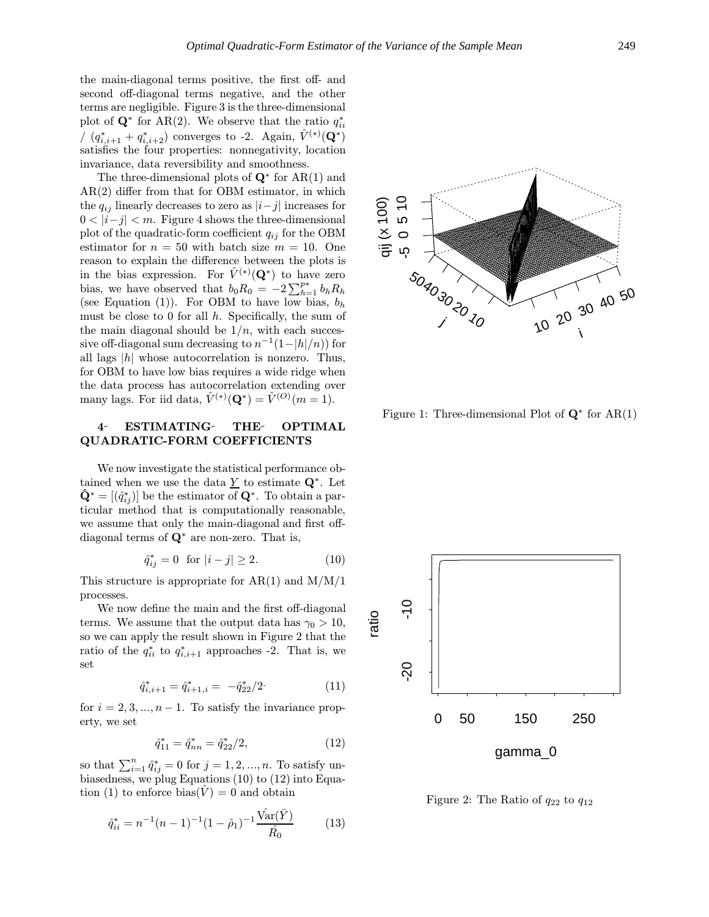the main-diagonal terms positive, the first off- and second off-diagonal terms negative, and the other terms are negligible. Figure 3 is the three-dimensional plot of  $\mathbf{Q}^*$  for AR(2). We observe that the ratio  $q_{ii}^*$ /  $(q_{i,i+1}^* + q_{i,i+2}^*)$  converges to -2. Again,  $\hat{V}^{(*)}(\mathbf{Q}^*)$ satisfies the four properties: nonnegativity, location invariance, data reversibility and smoothness.

The three-dimensional plots of  $\mathbf{Q}^*$  for AR(1) and AR(2) differ from that for OBM estimator, in which the  $q_{ij}$  linearly decreases to zero as  $|i-j|$  increases for  $0 < |i-j| < m$ . Figure 4 shows the three-dimensional plot of the quadratic-form coefficient  $q_{ij}$  for the OBM estimator for  $n = 50$  with batch size  $m = 10$ . One reason to explain the difference between the plots is in the bias expression. For  $\hat{V}^{(*)}(\mathbf{Q}^*)$  to have zero bias, we have observed that  $b_0 R_0 = -2 \sum_{h=1}^{p*} b_h R_h$ (see Equation (1)). For OBM to have low bias,  $b_h$ must be close to 0 for all  $h$ . Specifically, the sum of the main diagonal should be  $1/n$ , with each successive off-diagonal sum decreasing to  $n^{-1}(1-|h|/n)$  for all lags  $|h|$  whose autocorrelation is nonzero. Thus, for OBM to have low bias requires a wide ridge when the data process has autocorrelation extending over many lags. For iid data,  $\hat{V}^{(*)}(\mathbf{Q}^*) = \hat{V}^{(O)}(m=1)$ .

# 4 ESTIMATING THE OPTIMAL QUADRATIC-FORM COEFFICIENTS

We now investigate the statistical performance obtained when we use the data  $\underline{Y}$  to estimate  $\mathbf{Q}^*$ . Let  $\hat{\mathbf{Q}}^* = [(\hat{q}_{ij}^*)]$  be the estimator of  $\overline{\mathbf{Q}}^*$ . To obtain a particular method that is computationally reasonable, we assume that only the main-diagonal and first offdiagonal terms of  $\mathbf{Q}^*$  are non-zero. That is,

$$
\hat{q}_{ij}^* = 0 \text{ for } |i - j| \ge 2. \tag{10}
$$

This structure is appropriate for  $AR(1)$  and  $M/M/1$ processes.

We now define the main and the first off-diagonal terms. We assume that the output data has  $\gamma_0 > 10$ , so we can apply the result shown in Figure 2 that the ratio of the  $q_{ii}^*$  to  $q_{i,i+1}^*$  approaches -2. That is, we set

$$
\hat{q}_{i,i+1}^* = \hat{q}_{i+1,i}^* = -\hat{q}_{22}^*/2 \tag{11}
$$

for  $i = 2, 3, ..., n - 1$ . To satisfy the invariance property, we set

$$
\hat{q}_{11}^* = \hat{q}_{nn}^* = \hat{q}_{22}^*/2,\tag{12}
$$

so that  $\sum_{i=1}^{n} \hat{q}_{ij}^* = 0$  for  $j = 1, 2, ..., n$ . To satisfy unbiasedness, we plug Equations (10) to (12) into Equation (1) to enforce bias( $\hat{V}$ ) = 0 and obtain

$$
\hat{q}_{ii}^* = n^{-1}(n-1)^{-1}(1-\hat{\rho}_1)^{-1}\frac{\hat{\text{Var}}(\bar{Y})}{\hat{R}_0} \tag{13}
$$



Figure 1: Three-dimensional Plot of  $\mathbf{Q}^*$  for  $AR(1)$ 



Figure 2: The Ratio of  $q_{22}$  to  $q_{12}$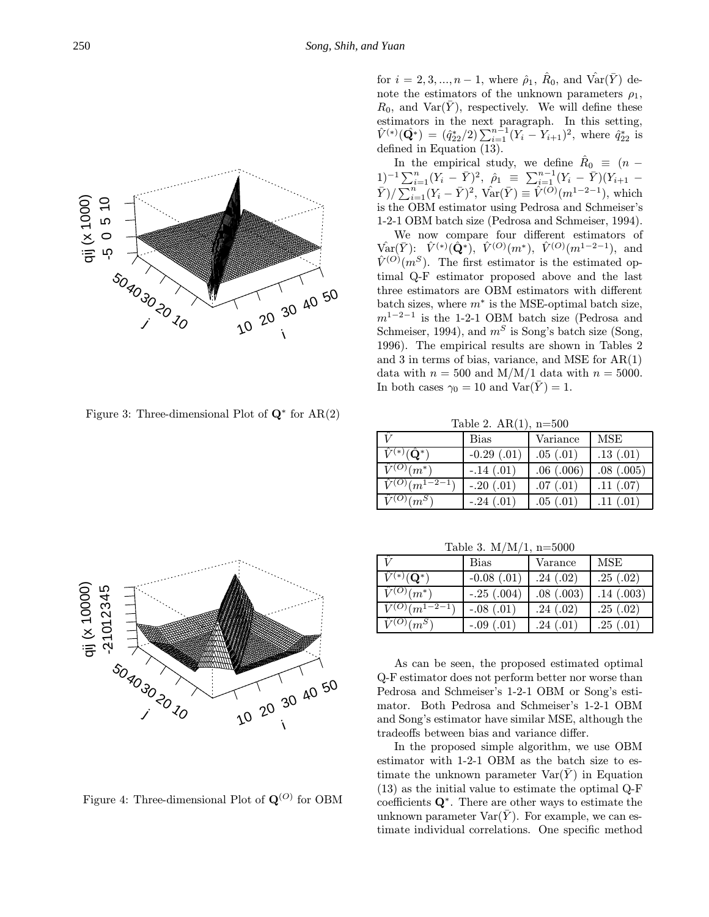

Figure 3: Three-dimensional Plot of  $\mathbf{Q}^*$  for  $AR(2)$ 

for  $i = 2, 3, ..., n - 1$ , where  $\hat{\rho}_1$ ,  $\hat{R}_0$ , and  $\text{Var}(\bar{Y})$  denote the estimators of the unknown parameters  $\rho_1$ ,  $R_0$ , and  $\text{Var}(\bar{Y})$ , respectively. We will define these estimators in the next paragraph. In this setting,  $\hat{V}^{(*)}(\hat{\mathbf{Q}}^*) = (\hat{q}_{22}^*/2) \sum_{i=1}^{n-1} (Y_i - Y_{i+1})^2$ , where  $\hat{q}_{22}^*$  is defined in Equation (13).

In the empirical study, we define  $R_0 \equiv (n (1)^{-1} \sum_{i=1}^{n} (Y_i - \bar{Y})^2$ ,  $\hat{\rho}_1 \equiv \sum_{i=1}^{n-1} (Y_i - \bar{Y}) (Y_{i+1} - \bar{Y})^2$  $(\bar{Y})/\sum_{i=1}^{n}(Y_i-\bar{Y})^2$ ,  $\hat{\text{Var}}(\bar{Y}) \equiv \hat{V}^{(O)}(m^{1-2-1})$ , which is the OBM estimator using Pedrosa and Schmeiser's 1-2-1 OBM batch size (Pedrosa and Schmeiser, 1994).

We now compare four different estimators of  $\hat{\text{Var}}(\bar{Y})$ :  $\hat{V}^{(*)}(\hat{\mathbf{Q}}^*)$ ,  $\hat{V}^{(O)}(m^*)$ ,  $\hat{V}^{(O)}(m^{1-2-1})$ , and  $\hat{V}^{(O)}(m^S)$ . The first estimator is the estimated optimal Q-F estimator proposed above and the last three estimators are OBM estimators with different batch sizes, where  $m^*$  is the MSE-optimal batch size,  $m^{1-2-1}$  is the 1-2-1 OBM batch size (Pedrosa and Schmeiser, 1994), and  $m<sup>S</sup>$  is Song's batch size (Song, 1996). The empirical results are shown in Tables 2 and 3 in terms of bias, variance, and MSE for  $AR(1)$ data with  $n = 500$  and M/M/1 data with  $n = 5000$ . In both cases  $\gamma_0 = 10$  and  $\text{Var}(\bar{Y}) = 1$ .

Table 2.  $AR(1)$ , n=500

|                            | Bias            | Variance  | MSE       |
|----------------------------|-----------------|-----------|-----------|
| $\hat{V}^{(*)}(\hat{Q}^*)$ | $-0.29$ $(.01)$ | .05(.01)  | .13(.01)  |
| $\widehat{V}^{(O)}(m^*)$   | $-.14(.01)$     | .06(.006) | .08(.005) |
| $\hat{V}^{(O)}(m^{1-2-1})$ | $-.20(.01)$     | .07(.01)  | .11(.07)  |
| $V^{(O)}(m^S)$             | $-.24(.01)$     | .05(.01)  | .11(.01)  |

Table 3. M/M/1, n=5000

|                                       | Bias            | Varance   | MSE       |  |  |
|---------------------------------------|-----------------|-----------|-----------|--|--|
| $\hat{V}^{(*)}(\hat{\mathbf{Q}}^{*})$ | $-0.08$ $(.01)$ | .24(.02)  | .25(.02)  |  |  |
| $\hat{V}^{(O)}(m^*)$                  | $-.25(.004)$    | .08(.003) | .14(.003) |  |  |
| $V^{(O)}(m^{1-2-1})$                  | $-.08(.01)$     | .24(.02)  | .25(.02)  |  |  |
| $\hat{V}^{(O)}(m^S)$                  | $-.09(.01)$     | .24(.01)  | .25(.01)  |  |  |

As can be seen, the proposed estimated optimal Q-F estimator does not perform better nor worse than Pedrosa and Schmeiser's 1-2-1 OBM or Song's estimator. Both Pedrosa and Schmeiser's 1-2-1 OBM and Song's estimator have similar MSE, although the tradeoffs between bias and variance differ.

In the proposed simple algorithm, we use OBM estimator with 1-2-1 OBM as the batch size to estimate the unknown parameter  $Var(\bar{Y})$  in Equation (13) as the initial value to estimate the optimal Q-F coefficients Q<sup>∗</sup>. There are other ways to estimate the unknown parameter  $\text{Var}(\bar{Y})$ . For example, we can estimate individual correlations. One specific method



Figure 4: Three-dimensional Plot of  $\mathbf{Q}^{(O)}$  for OBM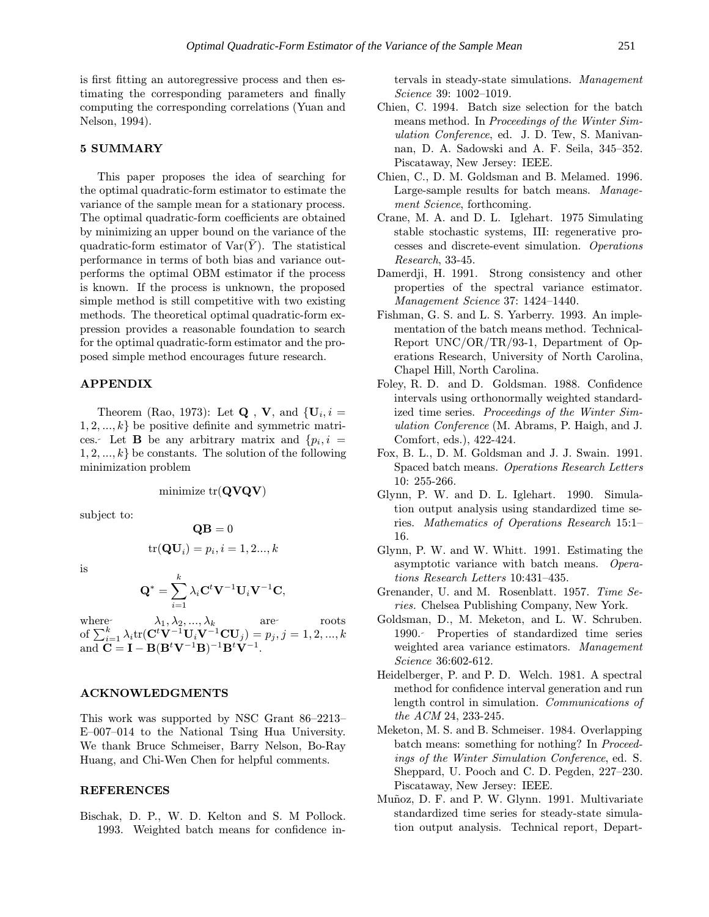is first fitting an autoregressive process and then estimating the corresponding parameters and finally computing the corresponding correlations (Yuan and Nelson, 1994).

### 5 SUMMARY

This paper proposes the idea of searching for the optimal quadratic-form estimator to estimate the variance of the sample mean for a stationary process. The optimal quadratic-form coefficients are obtained by minimizing an upper bound on the variance of the quadratic-form estimator of  $Var(\bar{Y})$ . The statistical performance in terms of both bias and variance outperforms the optimal OBM estimator if the process is known. If the process is unknown, the proposed simple method is still competitive with two existing methods. The theoretical optimal quadratic-form expression provides a reasonable foundation to search for the optimal quadratic-form estimator and the proposed simple method encourages future research.

# APPENDIX

Theorem (Rao, 1973): Let **Q**, **V**, and  $\{U_i, i =$  $1, 2, \ldots, k$  be positive definite and symmetric matrices. Let **B** be any arbitrary matrix and  $\{p_i, i =$  $1, 2, \ldots, k$  be constants. The solution of the following minimization problem

$$
\text{minimize } \mathrm{tr}(\mathbf{Q} \mathbf{V} \mathbf{Q} \mathbf{V})
$$

 $\mathbf{Q}\mathbf{B} = 0$  $tr(QU_i) = p_i, i = 1, 2, ..., k$ 

subject to:

is

$$
\mathbf{Q}^* = \sum_{i=1}^k \lambda_i \mathbf{C}^t \mathbf{V}^{-1} \mathbf{U}_i \mathbf{V}^{-1} \mathbf{C},
$$

where  $\lambda_1, \lambda_2, ..., \lambda_k$  are roots of  $\sum_{i=1}^{k} \lambda_i$ tr $({\bf C}^{t}{\bf V}^{-1}{\bf U}_i{\bf V}^{-1}{\bf C}{\bf U}_j) = p_j, j = 1, 2, ..., k$ and  $\mathbf{C} = \mathbf{I} - \mathbf{B} (\mathbf{B}^t \mathbf{V}^{-1} \mathbf{B})^{-1} \mathbf{B}^t \mathbf{V}^{-1}$ .

#### ACKNOWLEDGMENTS

This work was supported by NSC Grant 86–2213– E–007–014 to the National Tsing Hua University. We thank Bruce Schmeiser, Barry Nelson, Bo-Ray Huang, and Chi-Wen Chen for helpful comments.

### REFERENCES

Bischak, D. P., W. D. Kelton and S. M Pollock. 1993. Weighted batch means for confidence intervals in steady-state simulations. Management Science 39: 1002–1019.

- Chien, C. 1994. Batch size selection for the batch means method. In Proceedings of the Winter Simulation Conference, ed. J. D. Tew, S. Manivannan, D. A. Sadowski and A. F. Seila, 345–352. Piscataway, New Jersey: IEEE.
- Chien, C., D. M. Goldsman and B. Melamed. 1996. Large-sample results for batch means. Management Science, forthcoming.
- Crane, M. A. and D. L. Iglehart. 1975 Simulating stable stochastic systems, III: regenerative processes and discrete-event simulation. Operations Research, 33-45.
- Damerdji, H. 1991. Strong consistency and other properties of the spectral variance estimator. Management Science 37: 1424–1440.
- Fishman, G. S. and L. S. Yarberry. 1993. An implementation of the batch means method. Technical-Report UNC/OR/TR/93-1, Department of Operations Research, University of North Carolina, Chapel Hill, North Carolina.
- Foley, R. D. and D. Goldsman. 1988. Confidence intervals using orthonormally weighted standardized time series. Proceedings of the Winter Simulation Conference (M. Abrams, P. Haigh, and J. Comfort, eds.), 422-424.
- Fox, B. L., D. M. Goldsman and J. J. Swain. 1991. Spaced batch means. Operations Research Letters 10: 255-266.
- Glynn, P. W. and D. L. Iglehart. 1990. Simulation output analysis using standardized time series. Mathematics of Operations Research 15:1– 16.
- Glynn, P. W. and W. Whitt. 1991. Estimating the asymptotic variance with batch means. Operations Research Letters 10:431–435.
- Grenander, U. and M. Rosenblatt. 1957. Time Series. Chelsea Publishing Company, New York.
- Goldsman, D., M. Meketon, and L. W. Schruben. 1990. Properties of standardized time series weighted area variance estimators. Management Science 36:602-612.
- Heidelberger, P. and P. D. Welch. 1981. A spectral method for confidence interval generation and run length control in simulation. Communications of the ACM 24, 233-245.
- Meketon, M. S. and B. Schmeiser. 1984. Overlapping batch means: something for nothing? In Proceedings of the Winter Simulation Conference, ed. S. Sheppard, U. Pooch and C. D. Pegden, 227–230. Piscataway, New Jersey: IEEE.
- Muñoz, D. F. and P. W. Glynn. 1991. Multivariate standardized time series for steady-state simulation output analysis. Technical report, Depart-